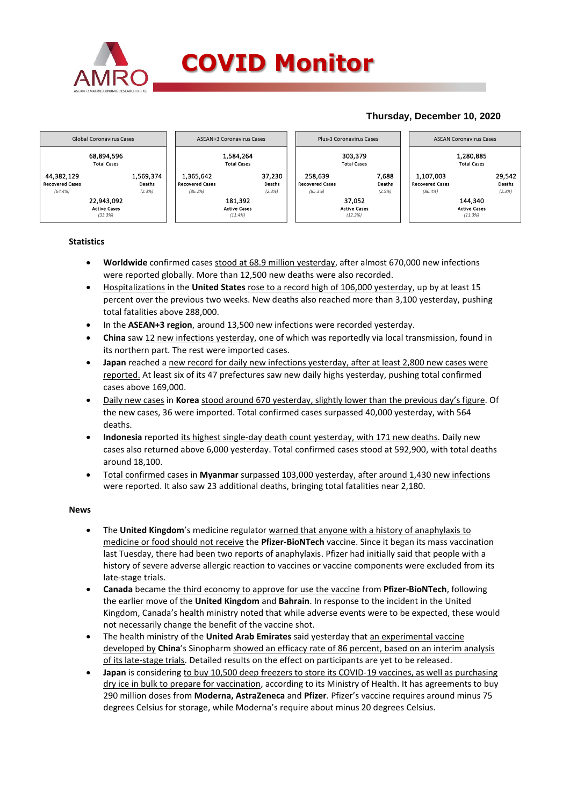

### **Thursday, December 10, 2020**



### **Statistics**

- **Worldwide** confirmed cases stood at 68.9 million yesterday, after almost 670,000 new infections were reported globally. More than 12,500 new deaths were also recorded.
- Hospitalizations in the **United States** rose to a record high of 106,000 yesterday, up by at least 15 percent over the previous two weeks. New deaths also reached more than 3,100 yesterday, pushing total fatalities above 288,000.
- In the **ASEAN+3 region**, around 13,500 new infections were recorded yesterday.
- **•** China saw 12 new infections yesterday, one of which was reportedly via local transmission, found in its northern part. The rest were imported cases.
- **Japan** reached a new record for daily new infections yesterday, after at least 2,800 new cases were reported. At least six of its 47 prefectures saw new daily highs yesterday, pushing total confirmed cases above 169,000.
- Daily new cases in **Korea** stood around 670 yesterday, slightly lower than the previous day's figure. Of the new cases, 36 were imported. Total confirmed cases surpassed 40,000 yesterday, with 564 deaths.
- **Indonesia** reported its highest single-day death count yesterday, with 171 new deaths. Daily new cases also returned above 6,000 yesterday. Total confirmed cases stood at 592,900, with total deaths around 18,100.
- Total confirmed cases in **Myanmar** surpassed 103,000 yesterday, after around 1,430 new infections were reported. It also saw 23 additional deaths, bringing total fatalities near 2,180.

### **News**

- The **United Kingdom**'s medicine regulator warned that anyone with a history of anaphylaxis to medicine or food should not receive the **Pfizer-BioNTech** vaccine. Since it began its mass vaccination last Tuesday, there had been two reports of anaphylaxis. Pfizer had initially said that people with a history of severe adverse allergic reaction to vaccines or vaccine components were excluded from its late-stage trials.
- **Canada** became the third economy to approve for use the vaccine from **Pfizer-BioNTech**, following the earlier move of the **United Kingdom** and **Bahrain**. In response to the incident in the United Kingdom, Canada's health ministry noted that while adverse events were to be expected, these would not necessarily change the benefit of the vaccine shot.
- The health ministry of the United Arab Emirates said yesterday that an experimental vaccine developed by **China**'s Sinopharm showed an efficacy rate of 86 percent, based on an interim analysis of its late-stage trials. Detailed results on the effect on participants are yet to be released.
- **Japan** is considering to buy 10,500 deep freezers to store its COVID-19 vaccines, as well as purchasing dry ice in bulk to prepare for vaccination, according to its Ministry of Health. It has agreements to buy 290 million doses from **Moderna, AstraZeneca** and **Pfizer**. Pfizer's vaccine requires around minus 75 degrees Celsius for storage, while Moderna's require about minus 20 degrees Celsius.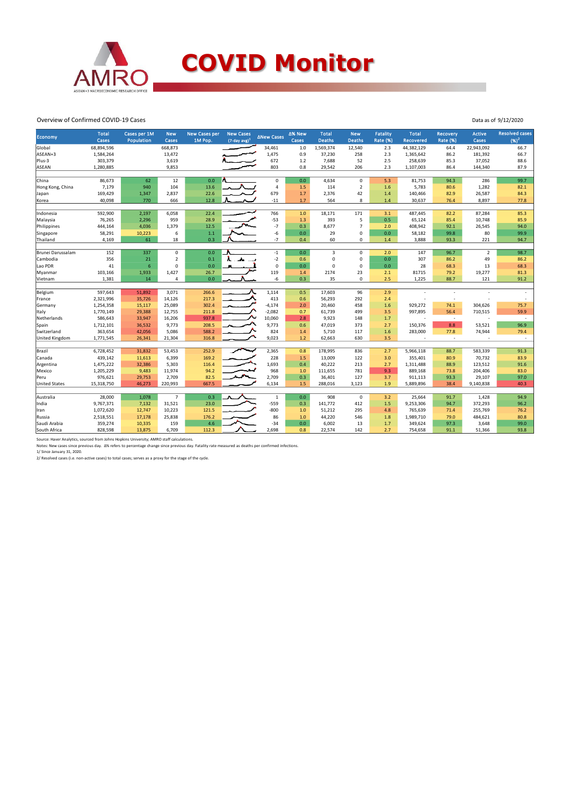

## **COVID Monitor**

Data as of 9/12/2020

#### Overview of Confirmed COVID-19 Cases

|                      | <b>Total</b> | Cases per 1M      | <b>New</b>     | <b>New Cases per</b> | <b>New Cases</b>   |                | ∆% New  | <b>Total</b>  | <b>New</b>     | <b>Fatality</b> | <b>Total</b>     | <b>Recovery</b> | <b>Active</b>  | <b>Resolved cases</b>    |
|----------------------|--------------|-------------------|----------------|----------------------|--------------------|----------------|---------|---------------|----------------|-----------------|------------------|-----------------|----------------|--------------------------|
| Economy              | Cases        | <b>Population</b> | Cases          | 1M Pop.              | $(7$ -day avg) $1$ | ∆New Cases     | Cases   | <b>Deaths</b> | <b>Deaths</b>  | <b>Rate (%)</b> | <b>Recovered</b> | <b>Rate (%)</b> | Cases          | $(96)^2$                 |
| Global               | 68,894,596   |                   | 668,873        |                      |                    | 34,461         | 1.0     | 1,569,374     | 12,540         | 2.3             | 44,382,129       | 64.4            | 22,943,092     | 66.7                     |
| ASEAN+3              | 1,584,264    |                   | 13,472         |                      |                    | 1,475          | 0.9     | 37,230        | 258            | 2.3             | 1,365,642        | 86.2            | 181,392        | 66.7                     |
| Plus-3               | 303,379      |                   | 3,619          |                      |                    | 672            | $1.2$   | 7,688         | 52             | 2.5             | 258,639          | 85.3            | 37,052         | 88.6                     |
| <b>ASEAN</b>         | 1,280,885    |                   | 9,853          |                      |                    | 803            | 0.8     | 29,542        | 206            | 2.3             | 1,107,003        | 86.4            | 144,340        | 87.9                     |
|                      |              |                   |                |                      |                    |                |         |               |                |                 |                  |                 |                |                          |
| China                | 86,673       | 62                | 12             | 0.0                  |                    | $\mathbf 0$    | 0.0     | 4,634         | $\mathbf 0$    | 5.3             | 81,753           | 94.3            | 286            | 99.7                     |
| Hong Kong, China     | 7,179        | 940               | 104            | 13.6                 |                    | $\overline{a}$ | 1.5     | 114           | $\overline{2}$ | 1.6             | 5,783            | 80.6            | 1,282          | 82.1                     |
| Japan                | 169,429      | 1,347             | 2,837          | 22.6                 |                    | 679            | 1.7     | 2,376         | 42             | 1.4             | 140,466          | 82.9            | 26,587         | 84.3                     |
| Korea                | 40,098       | 770               | 666            | 12.8                 |                    | $-11$          | 1.7     | 564           | 8              | 1.4             | 30,637           | 76.4            | 8,897          | 77.8                     |
|                      |              |                   |                |                      |                    |                |         |               |                |                 |                  |                 |                |                          |
| Indonesia            | 592,900      | 2,197             | 6,058          | 22.4                 |                    | 766            | 1.0     | 18,171        | 171            | 3.1             | 487,445          | 82.2            | 87,284         | 85.3                     |
| Malaysia             | 76,265       | 2,296             | 959            | 28.9                 |                    | $-53$          | 1.3     | 393           | 5              | 0.5             | 65,124           | 85.4            | 10,748         | 85.9                     |
| Philippines          | 444,164      | 4,036             | 1,379          | 12.5                 |                    | $-7$           | 0.3     | 8,677         | $\overline{7}$ | 2.0             | 408,942          | 92.1            | 26,545         | 94.0                     |
| Singapore            | 58,291       | 10,223            | 6              | 1.1                  |                    | $-6$           | 0.0     | 29            | $\Omega$       | 0.0             | 58,182           | 99.8            | 80             | 99.9                     |
| Thailand             | 4,169        | 61                | 18             | 0.3                  |                    | $-7$           | 0.4     | 60            | 0              | 1.4             | 3,888            | 93.3            | 221            | 94.7                     |
|                      |              |                   |                |                      |                    |                |         |               |                |                 |                  |                 |                |                          |
| Brunei Darussalam    | 152          | 337               | 0              | 0.0                  |                    | $-1$           | 0.0     | 3             | 0              | 2.0             | 147              | 96.7            | $\overline{2}$ | 98.7                     |
| Cambodia             | 356          | 21                | $\overline{2}$ | 0.1                  |                    | $-2$           | 0.6     | $\mathbf 0$   | $\Omega$       | 0.0             | 307              | 86.2            | 49             | 86.2                     |
| Lao PDR              | 41           | $\sqrt{6}$        | 0              | 0.0                  |                    | $\mathsf 0$    | 0.0     | $\Omega$      | $\Omega$       | 0.0             | 28               | 68.3            | 13             | 68.3                     |
| Myanmar              | 103,166      | 1,933             | 1,427          | 26.7                 |                    | 119            | 1.4     | 2174          | 23             | 2.1             | 81715            | 79.2            | 19,277         | 81.3                     |
| Vietnam              | 1,381        | 14                | 4              | 0.0                  |                    | $-6$           | 0.3     | 35            | $\mathbf 0$    | 2.5             | 1,225            | 88.7            | 121            | 91.2                     |
| Belgium              | 597,643      | 51,892            | 3,071          | 266.6                |                    | 1,114          | 0.5     | 17,603        | 96             | 2.9             |                  | ÷,              |                |                          |
| France               | 2,321,996    | 35,726            | 14,126         | 217.3                |                    | 413            | 0.6     | 56,293        | 292            | 2.4             |                  | ч.              |                |                          |
| Germany              | 1,254,358    | 15,117            | 25,089         | 302.4                |                    | $-4,174$       | 2.0     | 20,460        | 458            | 1.6             | 929,272          | 74.1            | 304,626        | 75.7                     |
| Italy                | 1,770,149    | 29,388            | 12,755         | 211.8                |                    | $-2,082$       | 0.7     | 61,739        | 499            | 3.5             | 997,895          | 56.4            | 710,515        | 59.9                     |
| Netherlands          | 586,643      | 33,947            | 16,206         | 937.8                |                    | 10,060         | 2.8     | 9,923         | 148            | 1.7             |                  | $\sim$          |                | $\overline{\phantom{a}}$ |
| Spain                | 1,712,101    | 36,532            | 9,773          | 208.5                |                    | 9,773          | 0.6     | 47,019        | 373            | 2.7             | 150,376          | 8.8             | 53,521         | 96.9                     |
| Switzerland          | 363,654      | 42,056            | 5,086          | 588.2                |                    | 824            | 1.4     | 5,710         | 117            | 1.6             | 283,000          | 77.8            | 74,944         | 79.4                     |
| United Kingdom       | 1,771,545    | 26,341            | 21,304         | 316.8                |                    | 9,023          | $1.2\,$ | 62,663        | 630            | 3.5             | $\sim$           | $\sim$          |                | $\sim$                   |
|                      |              |                   |                |                      |                    |                |         |               |                |                 |                  |                 |                |                          |
| Brazil               | 6,728,452    | 31,832            | 53,453         | 252.9                |                    | 2,365          | 0.8     | 178,995       | 836            | 2.7             | 5,966,118        | 88.7            | 583,339        | 91.3                     |
| Canada               | 439,142      | 11,613            | 6,399          | 169.2                |                    | 228            | 1.5     | 13,009        | 122            | 3.0             | 355,401          | 80.9            | 70,732         | 83.9                     |
| Argentina            | 1,475,222    | 32,386            | 5,303          | 116.4                |                    | 1,693          | 0.4     | 40,222        | 213            | 2.7             | 1,311,488        | 88.9            | 123,512        | 91.6                     |
| Mexico               | 1,205,229    | 9,483             | 11,974         | 94.2                 |                    | 968            | 1.0     | 111,655       | 781            | 9.3             | 889,168          | 73.8            | 204,406        | 83.0                     |
| Peru                 | 976,621      | 29,753            | 2,709          | 82.5                 |                    | 2,709          | 0.3     | 36,401        | 127            | 3.7             | 911,113          | 93.3            | 29,107         | 97.0                     |
| <b>United States</b> | 15,318,750   | 46,273            | 220,993        | 667.5                |                    | 6,134          | 1.5     | 288,016       | 3,123          | 1.9             | 5,889,896        | 38.4            | 9,140,838      | 40.3                     |
|                      |              |                   |                |                      |                    |                |         |               |                |                 |                  |                 |                |                          |
| Australia            | 28,000       | 1,078             | $\overline{7}$ | 0.3                  |                    | 1              | 0.0     | 908           | $\mathbf 0$    | 3.2             | 25,664           | 91.7            | 1,428          | 94.9                     |
| India                | 9,767,371    | 7,132             | 31,521         | 23.0                 |                    | $-559$         | 0.3     | 141,772       | 412            | 1.5             | 9,253,306        | 94.7            | 372,293        | 96.2                     |
| Iran                 | 1,072,620    | 12,747            | 10,223         | 121.5                |                    | $-800$         | 1.0     | 51,212        | 295            | 4.8             | 765,639          | 71.4            | 255,769        | 76.2                     |
| Russia               | 2,518,551    | 17,178            | 25,838         | 176.2                |                    | 86             | 1.0     | 44,220        | 546            | 1.8             | 1,989,710        | 79.0            | 484,621        | 80.8                     |
| Saudi Arabia         | 359,274      | 10,335            | 159            | 4.6                  |                    | $-34$          | 0.0     | 6,002         | 13             | 1.7             | 349,624          | 97.3            | 3,648          | 99.0                     |
| South Africa         | 828,598      | 13,875            | 6,709          | 112.3                |                    | 2,698          | 0.8     | 22,574        | 142            | 2.7             | 754,658          | 91.1            | 51,366         | 93.8                     |

Source: Haver Analytics, sourced from Johns Hopkins University; AMRO staff calculations.<br>Notes: New cases since previous day. Δ% refers to percentage change since previous day. Fatality rate measured as deaths per confirm